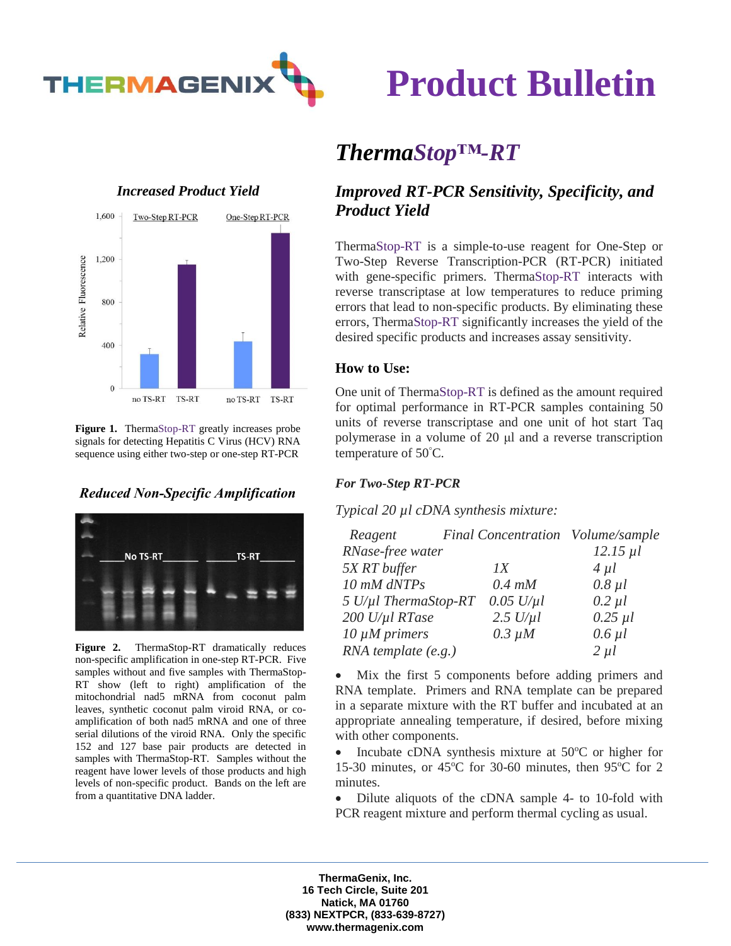

# **Product Bulletin**

### *Increased Product Yield*



**Figure 1.** ThermaStop-RT greatly increases probe signals for detecting Hepatitis C Virus (HCV) RNA sequence using either two-step or one-step RT-PCR

### *Reduced Non-Specific Amplification*



**Figure 2.** ThermaStop-RT dramatically reduces non-specific amplification in one-step RT-PCR. Five samples without and five samples with ThermaStop-RT show (left to right) amplification of the mitochondrial nad5 mRNA from coconut palm leaves, synthetic coconut palm viroid RNA, or coamplification of both nad5 mRNA and one of three serial dilutions of the viroid RNA. Only the specific 152 and 127 base pair products are detected in samples with ThermaStop-RT. Samples without the reagent have lower levels of those products and high levels of non-specific product. Bands on the left are from a quantitative DNA ladder.

## *ThermaStop™-RT*

### *Improved RT-PCR Sensitivity, Specificity, and Product Yield*

ThermaStop-RT is a simple-to-use reagent for One-Step or Two-Step Reverse Transcription-PCR (RT-PCR) initiated with gene-specific primers. ThermaStop-RT interacts with reverse transcriptase at low temperatures to reduce priming errors that lead to non-specific products. By eliminating these errors, ThermaStop-RT significantly increases the yield of the desired specific products and increases assay sensitivity.

### **How to Use:**

One unit of ThermaStop-RT is defined as the amount required for optimal performance in RT-PCR samples containing 50 units of reverse transcriptase and one unit of hot start Taq polymerase in a volume of 20 μl and a reverse transcription temperature of  $50^{\circ}$ C.

### *For Two-Step RT-PCR*

*Typical 20 µl cDNA synthesis mixture:*

| Reagent                      | Final Concentration Volume/sample |               |
|------------------------------|-----------------------------------|---------------|
| RNase-free water             |                                   | $12.15 \mu l$ |
| 5X RT buffer                 | $\overline{IX}$                   | $4 \mu l$     |
| 10 mM dNTPs                  | $0.4$ mM                          | $0.8 \mu l$   |
| $5$ U/ $\mu$ l ThermaStop-RT | $0.05$ U/ $\mu$ l                 | $0.2 \mu l$   |
| 200 U/µl RTase               | $2.5$ U/ $\mu$ l                  | $0.25$ $\mu$  |
| $10 \mu M$ primers           | $0.3 \mu M$                       | $0.6$ $\mu$   |
| RNA template (e.g.)          |                                   | $2 \mu l$     |

• Mix the first 5 components before adding primers and RNA template. Primers and RNA template can be prepared in a separate mixture with the RT buffer and incubated at an appropriate annealing temperature, if desired, before mixing with other components.

• Incubate cDNA synthesis mixture at  $50^{\circ}$ C or higher for 15-30 minutes, or  $45^{\circ}$ C for 30-60 minutes, then 95 $^{\circ}$ C for 2 minutes.

• Dilute aliquots of the cDNA sample 4- to 10-fold with PCR reagent mixture and perform thermal cycling as usual.

**ThermaGenix, Inc. 16 Tech Circle, Suite 201 Natick, MA 01760 (833) NEXTPCR, (833-639-8727) www.thermagenix.com**